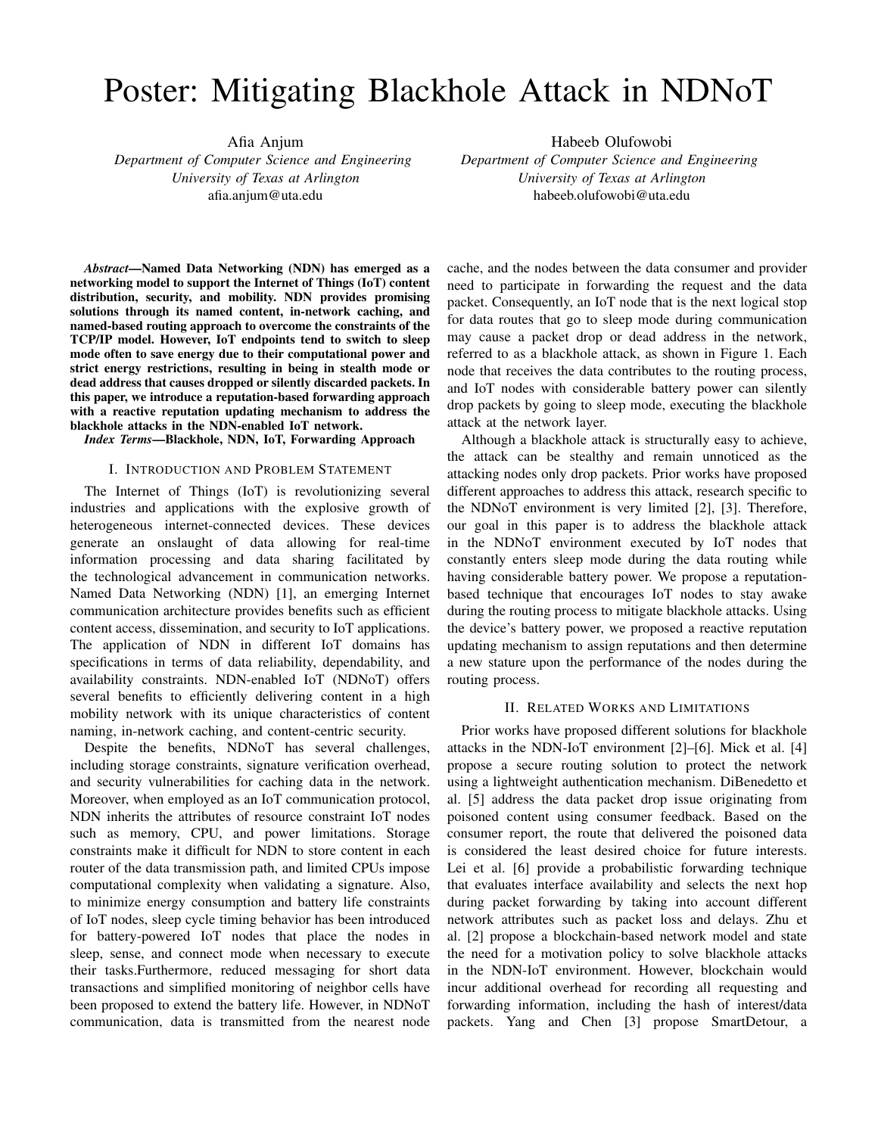# Poster: Mitigating Blackhole Attack in NDNoT

Afia Anjum

*Department of Computer Science and Engineering University of Texas at Arlington* afia.anjum@uta.edu

Habeeb Olufowobi *Department of Computer Science and Engineering University of Texas at Arlington* habeeb.olufowobi@uta.edu

*Abstract*—Named Data Networking (NDN) has emerged as a networking model to support the Internet of Things (IoT) content distribution, security, and mobility. NDN provides promising solutions through its named content, in-network caching, and named-based routing approach to overcome the constraints of the TCP/IP model. However, IoT endpoints tend to switch to sleep mode often to save energy due to their computational power and strict energy restrictions, resulting in being in stealth mode or dead address that causes dropped or silently discarded packets. In this paper, we introduce a reputation-based forwarding approach with a reactive reputation updating mechanism to address the blackhole attacks in the NDN-enabled IoT network.

*Index Terms*—Blackhole, NDN, IoT, Forwarding Approach

# I. INTRODUCTION AND PROBLEM STATEMENT

The Internet of Things (IoT) is revolutionizing several industries and applications with the explosive growth of heterogeneous internet-connected devices. These devices generate an onslaught of data allowing for real-time information processing and data sharing facilitated by the technological advancement in communication networks. Named Data Networking (NDN) [1], an emerging Internet communication architecture provides benefits such as efficient content access, dissemination, and security to IoT applications. The application of NDN in different IoT domains has specifications in terms of data reliability, dependability, and availability constraints. NDN-enabled IoT (NDNoT) offers several benefits to efficiently delivering content in a high mobility network with its unique characteristics of content naming, in-network caching, and content-centric security.

Despite the benefits, NDNoT has several challenges, including storage constraints, signature verification overhead, and security vulnerabilities for caching data in the network. Moreover, when employed as an IoT communication protocol, NDN inherits the attributes of resource constraint IoT nodes such as memory, CPU, and power limitations. Storage constraints make it difficult for NDN to store content in each router of the data transmission path, and limited CPUs impose computational complexity when validating a signature. Also, to minimize energy consumption and battery life constraints of IoT nodes, sleep cycle timing behavior has been introduced for battery-powered IoT nodes that place the nodes in sleep, sense, and connect mode when necessary to execute their tasks.Furthermore, reduced messaging for short data transactions and simplified monitoring of neighbor cells have been proposed to extend the battery life. However, in NDNoT communication, data is transmitted from the nearest node

cache, and the nodes between the data consumer and provider need to participate in forwarding the request and the data packet. Consequently, an IoT node that is the next logical stop for data routes that go to sleep mode during communication may cause a packet drop or dead address in the network, referred to as a blackhole attack, as shown in Figure 1. Each node that receives the data contributes to the routing process, and IoT nodes with considerable battery power can silently drop packets by going to sleep mode, executing the blackhole attack at the network layer.

Although a blackhole attack is structurally easy to achieve, the attack can be stealthy and remain unnoticed as the attacking nodes only drop packets. Prior works have proposed different approaches to address this attack, research specific to the NDNoT environment is very limited [2], [3]. Therefore, our goal in this paper is to address the blackhole attack in the NDNoT environment executed by IoT nodes that constantly enters sleep mode during the data routing while having considerable battery power. We propose a reputationbased technique that encourages IoT nodes to stay awake during the routing process to mitigate blackhole attacks. Using the device's battery power, we proposed a reactive reputation updating mechanism to assign reputations and then determine a new stature upon the performance of the nodes during the routing process.

### II. RELATED WORKS AND LIMITATIONS

Prior works have proposed different solutions for blackhole attacks in the NDN-IoT environment [2]–[6]. Mick et al. [4] propose a secure routing solution to protect the network using a lightweight authentication mechanism. DiBenedetto et al. [5] address the data packet drop issue originating from poisoned content using consumer feedback. Based on the consumer report, the route that delivered the poisoned data is considered the least desired choice for future interests. Lei et al. [6] provide a probabilistic forwarding technique that evaluates interface availability and selects the next hop during packet forwarding by taking into account different network attributes such as packet loss and delays. Zhu et al. [2] propose a blockchain-based network model and state the need for a motivation policy to solve blackhole attacks in the NDN-IoT environment. However, blockchain would incur additional overhead for recording all requesting and forwarding information, including the hash of interest/data packets. Yang and Chen [3] propose SmartDetour, a